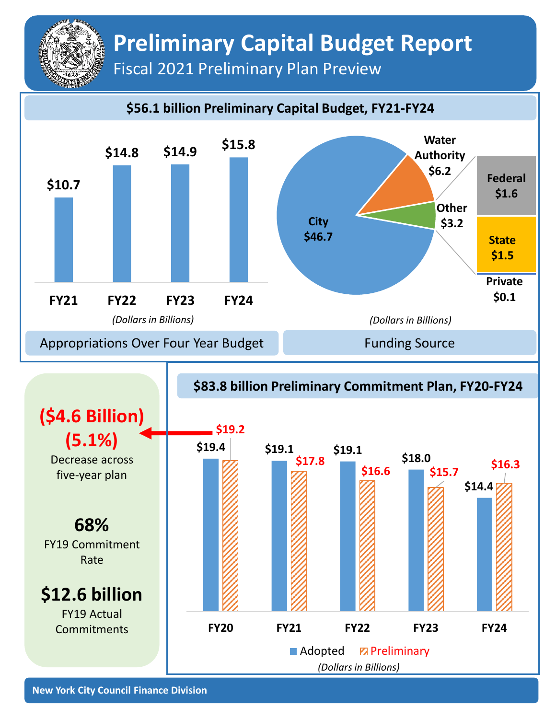## **Preliminary Capital Budget Report** Fiscal 2021 Preliminary Plan Preview

## **\$56.1 billion Preliminary Capital Budget, FY21-FY24**